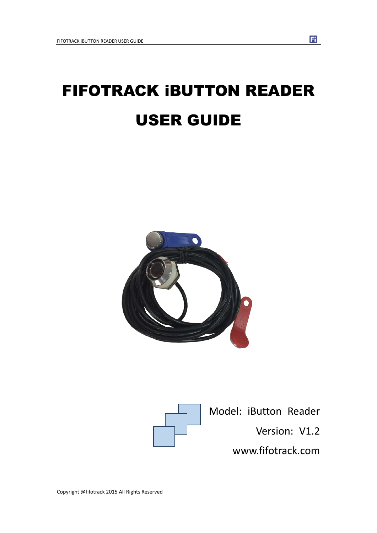# FIFOTRACK iBUTTON READER USER GUIDE





Model: iButton Reader

Version: V1.2

www.fifotrack.com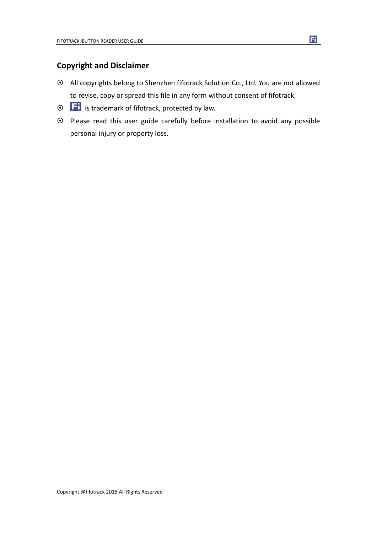### **Copyright and Disclaimer**

- All copyrights belong to Shenzhen fifotrack Solution Co., Ltd. You are not allowed to revise, copy or spread this file in any form without consent of fifotrack.
- $\odot$   $\Box$  is trademark of fifotrack, protected by law.
- Please read this user guide carefully before installation to avoid any possible personal injury or property loss.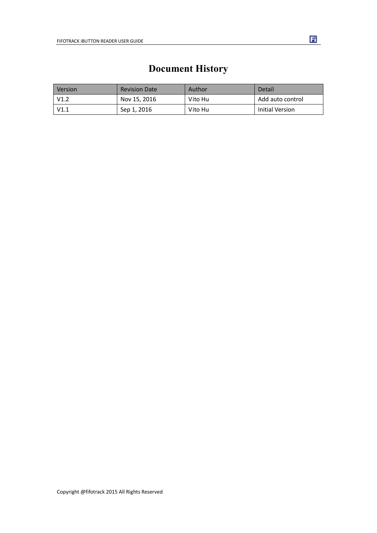<span id="page-2-0"></span>

| Version | <b>Revision Date</b> | Author  | Detail           |
|---------|----------------------|---------|------------------|
| V1.2    | Nov 15, 2016         | Vito Hu | Add auto control |
| V1.1    | Sep 1, 2016          | Vito Hu | Initial Version  |

# **Document History**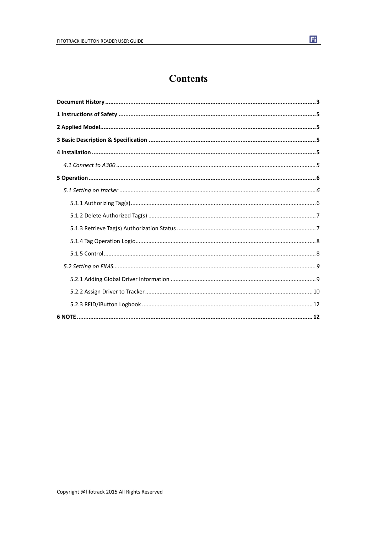# **Contents**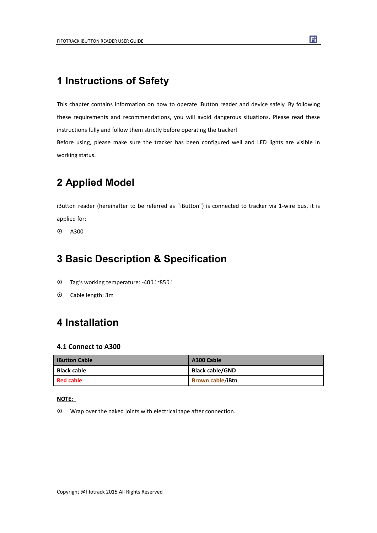# <span id="page-4-0"></span>**1 Instructions of Safety**

This chapter contains information on how to operate iButton reader and device safely. By following these requirements and recommendations, you will avoid dangerous situations. Please read these instructions fully and follow them strictly before operating the tracker!

Before using, please make sure the tracker has been configured well and LED lights are visible in working status.

# **2 Applied Model**

iButton reader (hereinafter to be referred as "iButton") is connected to tracker via 1-wire bus, it is applied for:

 $\odot$  A300

## **3 Basic Description & Specification**

- Tag's working temperature: -40℃~85℃
- Cable length: 3m

# **4 Installation**

#### **4.1 Connect to A300**

| <b>iButton Cable</b> | A300 Cable              |
|----------------------|-------------------------|
| <b>Black cable</b>   | <b>Black cable/GND</b>  |
| <b>Red cable</b>     | <b>Brown cable/iBtn</b> |

#### **NOTE:**

Wrap over the naked joints with electrical tape after connection.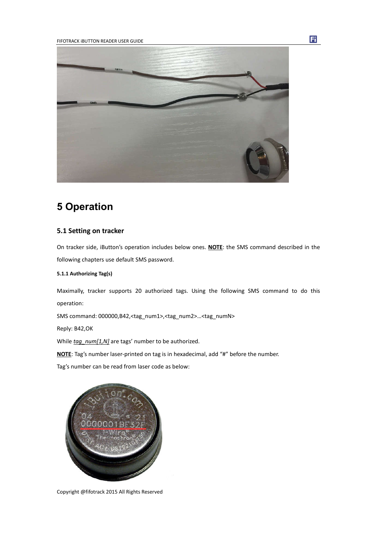<span id="page-5-0"></span>

# **5 Operation**

#### **5.1 Setting on tracker**

On tracker side, iButton's operation includes below ones. **NOTE**: the SMS command described in the following chapters use default SMS password.

#### **5.1.1 Authorizing Tag(s)**

Maximally, tracker supports 20 authorized tags. Using the following SMS command to do this operation:

SMS command: 000000,B42,<tag\_num1>,<tag\_num2>…<tag\_numN>

Reply: B42,OK

While *tag\_num[1,N]* are tags' number to be authorized.

**NOTE**: Tag's number laser-printed on tag is in hexadecimal, add "#" before the number.

Tag's number can be read from laser code as below:



Copyright @fifotrack 2015 All Rights Reserved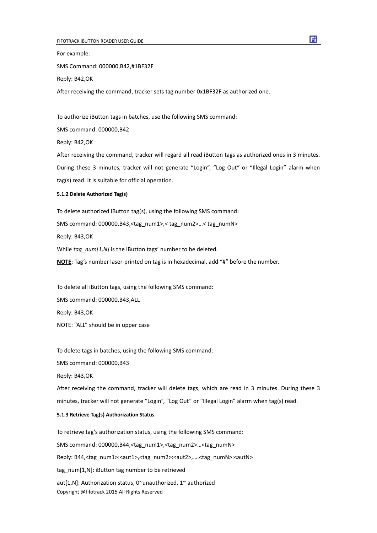<span id="page-6-0"></span>For example:

SMS Command: 000000,B42,#1BF32F

Reply: B42,OK

After receiving the command, tracker sets tag number 0x1BF32F as authorized one.

To authorize iButton tags in batches, use the following SMS command:

SMS command: 000000,B42

Reply: B42,OK

After receiving the command, tracker will regard all read iButton tags as authorized ones in 3 minutes. During these 3 minutes, tracker will not generate "Login", "Log Out" or "Illegal Login" alarm when tag(s) read. It is suitable for official operation.

#### **5.1.2 Delete Authorized Tag(s)**

To delete authorized iButton tag(s), using the following SMS command: SMS command: 000000,B43,<tag\_num1>,< tag\_num2>…< tag\_numN> Reply: B43,OK While *tag\_num[1,N]* is the iButton tags' number to be deleted. **NOTE**: Tag's number laser-printed on tag is in hexadecimal, add "#" before the number.

To delete all iButton tags, using the following SMS command:

SMS command: 000000,B43,ALL

Reply: B43,OK

NOTE: "ALL" should be in upper case

To delete tags in batches, using the following SMS command:

SMS command: 000000,B43

Reply: B43,OK

After receiving the command, tracker will delete tags, which are read in 3 minutes. During these 3 minutes, tracker will not generate "Login", "Log Out" or "Illegal Login" alarm when tag(s) read.

#### **5.1.3 Retrieve Tag(s) Authorization Status**

Copyright @fifotrack 2015 All Rights Reserved To retrieve tag's authorization status, using the following SMS command: SMS command: 000000,B44,<tag\_num1>,<tag\_num2>…<tag\_numN> Reply: B44,<tag\_num1>:<aut1>,<tag\_num2>:<aut2>,....<tag\_numN>:<autN> tag\_num[1,N]: iButton tag number to be retrieved aut[1,N]: Authorization status, 0~unauthorized, 1~ authorized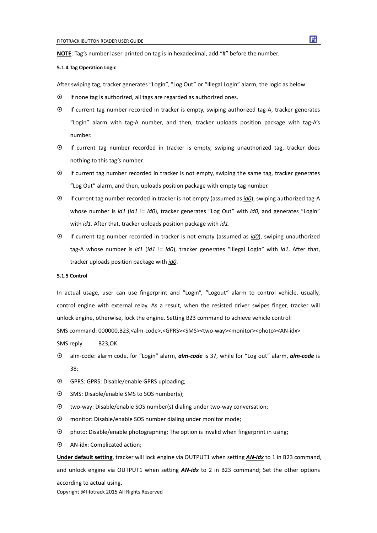<span id="page-7-0"></span>**NOTE**: Tag's number laser-printed on tag is in hexadecimal, add "#" before the number.

#### **5.1.4 Tag Operation Logic**

After swiping tag, tracker generates "Login", "Log Out" or "Illegal Login" alarm, the logic as below:

- $\odot$  If none tag is authorized, all tags are regarded as authorized ones.
- If current tag number recorded in tracker is empty, swiping authorized tag-A, tracker generates "Login" alarm with tag-A number, and then, tracker uploads position package with tag-A's number.
- If current tag number recorded in tracker is empty, swiping unauthorized tag, tracker does nothing to this tag's number.
- If current tag number recorded in tracker is not empty, swiping the same tag, tracker generates "Log Out" alarm, and then, uploads position package with empty tag number.
- If current tag number recorded in tracker is not empty (assumed as *id0*), swiping authorized tag-A whose number is *id1* (*id1* != *id0*), tracker generates "Log Out" with *id0*, and generates "Login" with *id1*. After that, tracker uploads position package with *id1*.
- If current tag number recorded in tracker is not empty (assumed as *id0*), swiping unauthorized tag-A whose number is *id1* (*id1* != *id0*), tracker generates "Illegal Login" with *id1*. After that, tracker uploads position package with *id0*.

#### **5.1.5 Control**

In actual usage, user can use fingerprint and "Login", "Logout" alarm to control vehicle, usually, control engine with external relay. As a result, when the resisted driver swipes finger, tracker will unlock engine, otherwise, lock the engine. Setting B23 command to achieve vehicle control:

SMS command: 000000,B23,<alm-code>,<GPRS><SMS><two-way><monitor><photo><AN-idx>

SMS reply : B23,OK

- alm-code: alarm code, for "Login" alarm, *alm-code* is 37, while for "Log out" alarm, *alm-code* is 38;
- GPRS: GPRS: Disable/enable GPRS uploading;
- SMS: Disable/enable SMS to SOS number(s);
- two-way: Disable/enable SOS number(s) dialing under two-way conversation;
- monitor: Disable/enable SOS number dialing under monitor mode;
- photo: Disable/enable photographing; The option is invalid when fingerprint in using;
- AN-idx: Complicated action;

**Under default setting**, tracker will lock engine via OUTPUT1 when setting *AN-idx* to 1 in B23 command, and unlock engine via OUTPUT1 when setting **AN-idx** to 2 in B23 command; Set the other options according to actual using.

Copyright @fifotrack 2015 All Rights Reserved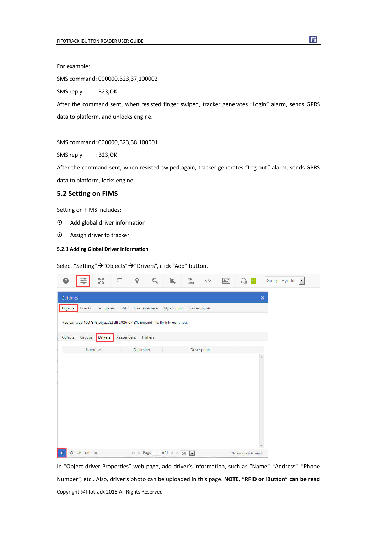<span id="page-8-0"></span>For example:

SMS command: 000000,B23,37,100002

SMS reply : B23,OK

After the command sent, when resisted finger swiped, tracker generates "Login" alarm, sends GPRS data to platform, and unlocks engine.

SMS command: 000000,B23,38,100001

SMS reply : B23,OK

After the command sent, when resisted swiped again, tracker generates "Log out" alarm, sends GPRS data to platform, locks engine.

#### **5.2 Setting on FIMS**

Setting on FIMS includes:

- Add global driver information
- Assign driver to tracker

#### **5.2.1 Adding Global Driver Information**

Select "Setting" → "Objects" → "Drivers", click "Add" button.

| ⋒        | -o-<br>$\frac{1}{\alpha-1}$ | 장         | $\overline{\mathbb{F}}$ | 9              |          | İE.                                                                           | e.           |             | $\mathbb{A}^*$ | $\overline{0}$     | Google Hybrid  | $\overline{\phantom{a}}$ |
|----------|-----------------------------|-----------|-------------------------|----------------|----------|-------------------------------------------------------------------------------|--------------|-------------|----------------|--------------------|----------------|--------------------------|
| Settings |                             |           |                         |                |          |                                                                               |              |             |                |                    | $\pmb{\times}$ |                          |
| Objects  | Events                      | Templates | SMS                     | User interface |          | My account                                                                    | Sub accounts |             |                |                    |                |                          |
|          |                             |           |                         |                |          | You can add 100 GPS object(s) till 2026-07-31. Expand this limit in our shop. |              |             |                |                    |                |                          |
| Objects  | Groups                      | Drivers   | Passengers              |                | Trailers |                                                                               |              |             |                |                    |                |                          |
|          | Name ^                      |           |                         | ID number      |          |                                                                               |              | Description |                |                    |                |                          |
|          |                             |           |                         |                |          |                                                                               |              |             |                |                    |                |                          |
| O        | G<br>L.                     | $\times$  |                         |                |          | $16$ < Page 1 of 1 > > 1 50 $\frac{1}{20}$                                    |              |             |                | No records to view |                |                          |

Copyright @fifotrack 2015 All Rights Reserved In "Object driver Properties" web-page, add driver's information, such as "Name", "Address", "Phone Number", etc.. Also, driver's photo can be uploaded in this page. **NOTE, "RFID or iButton" can be read**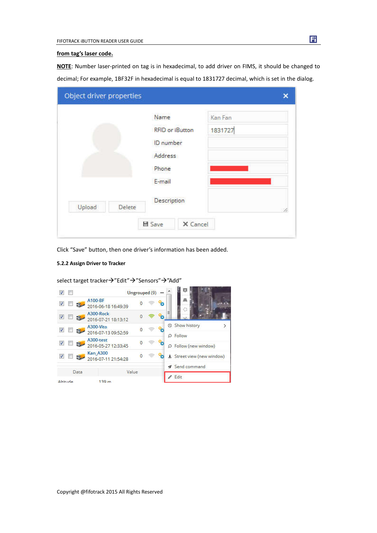#### <span id="page-9-0"></span>**from tag's laser code.**

**NOTE**: Number laser-printed on tag is in hexadecimal, to add driver on FIMS, it should be changed to decimal; For example, 1BF32F in hexadecimal is equal to 1831727 decimal, which is set in the dialog.

|                  | Name             |                        | Kan Fan |
|------------------|------------------|------------------------|---------|
|                  |                  | <b>RFID or iButton</b> | 1831727 |
|                  | <b>ID</b> number |                        |         |
|                  | Address          |                        |         |
|                  | Phone            |                        |         |
|                  | E-mail           |                        |         |
|                  |                  | Description            |         |
| Upload<br>Delete |                  |                        |         |

Click "Save" button, then one driver's information has been added.

#### **5.2.2 Assign Driver to Tracker**

 $\sqrt{2}$ 阞 Ungrouped  $(9)$  -A100-BF  $\sqrt{2}$  $\overline{0}$  $\equiv$ ზ 2016-06-18 16:49:39 A300-Rock ■ ■ 語  $96$  $\overline{0}$  $\circ$ 2016-07-21 18:13:12 **O** Show history  $\mathbf{e}$  $\mathcal{L}$ A300-Vito  $\otimes$  $\sqrt{2}$  $\pmb{0}$ 2016-07-13 09:52:59 O Follow A300-test  $\mathbf{e}$  $\sqrt{2}$  $\pmb{0}$  $\circ$ 2016-05-27 12:33:45 O Follow (new window) **Kan\_A300**  $\mathbf{e}$  $\ddot{\mathbf{0}}$  $\circledcirc$  $\sqrt{2}$   $\sqrt{2}$ & Street view (new window) 2016-07-11 21:54:28 Send command Data Value  $\ell$  Edit Altitude 139 m

select target tracker->"Edit"->"Sensors"->"Add"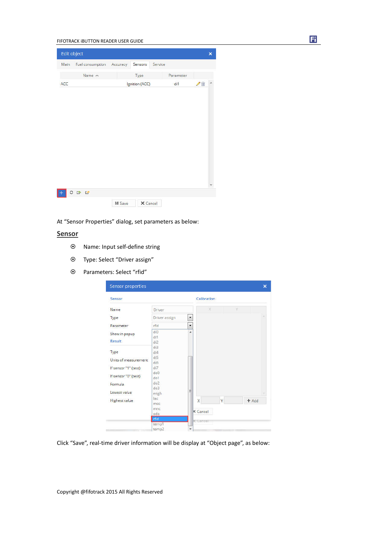#### FIFOTRACK iBUTTON READER USER GUIDE

| Edit object |                           |               |                |         |           |   | $\times$ |
|-------------|---------------------------|---------------|----------------|---------|-----------|---|----------|
| Main        | Fuel consumption Accuracy |               | Sensors        | Service |           |   |          |
|             | Name $\land$              |               | Type           |         | Parameter |   |          |
| ACC         |                           |               | Ignition (ACC) |         | di1       | ↗ |          |
|             |                           |               |                |         |           |   |          |
|             |                           |               |                |         |           |   |          |
|             |                           |               |                |         |           |   |          |
|             |                           |               |                |         |           |   |          |
|             |                           |               |                |         |           |   |          |
|             |                           |               |                |         |           |   |          |
|             |                           |               |                |         |           |   |          |
|             |                           |               |                |         |           |   |          |
|             |                           |               |                |         |           |   |          |
|             |                           |               |                |         |           |   |          |
|             | 0 0 0                     |               |                |         |           |   |          |
|             |                           | <b>■ Save</b> | X Cancel       |         |           |   |          |

At "Sensor Properties" dialog, set parameters as below:

#### **Sensor**

- Name: Input self-define string
- Type: Select "Driver assign"
- Parameters: Select "rfid"

| Sensor                         |                   |                          |                         | Calibration |   |   |         |  |
|--------------------------------|-------------------|--------------------------|-------------------------|-------------|---|---|---------|--|
| Name                           | Driver            |                          |                         | X           |   | Ÿ |         |  |
| Type                           | Driver assign     | $\overline{\phantom{a}}$ |                         |             |   |   |         |  |
| Parameter                      | rfid              | $\overline{\phantom{a}}$ |                         |             |   |   |         |  |
| Show in popup<br><b>Result</b> | di0<br>di1<br>di2 | ×                        |                         |             |   |   |         |  |
| Type                           | di3<br>di4<br>di5 |                          |                         |             |   |   |         |  |
| Units of measurement           | di6               |                          |                         |             |   |   |         |  |
| If sensor "1" (text)           | di7<br>do0        |                          |                         |             |   |   |         |  |
| If sensor "0" (text)           | $d$ o $1$<br>do2  |                          |                         |             |   |   |         |  |
| Formula                        | do3               | Ξ                        |                         |             |   |   |         |  |
| Lowest value                   | engh              |                          |                         |             |   |   |         |  |
| <b>Highest value</b>           | lac<br>mcc        |                          | $\overline{\mathsf{x}}$ |             | Ÿ |   | $+$ Add |  |
|                                | mnc<br>odo        |                          | <b>X</b> Cancel         |             |   |   |         |  |
|                                | rfid              |                          | <b>X</b> Cancel         |             |   |   |         |  |
|                                | temp1<br>temp2    |                          |                         |             |   |   |         |  |

Click "Save", real-time driver information will be display at "Object page", as below:

団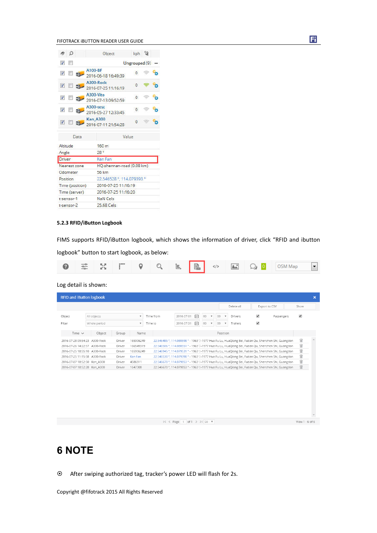<span id="page-11-0"></span>FIFOTRACK iBUTTON READER USER GUIDE

|                         | Ω                |                                              | Object                                 | kph 22                    |  |  |  |  |  |  |
|-------------------------|------------------|----------------------------------------------|----------------------------------------|---------------------------|--|--|--|--|--|--|
| V                       | 閼                |                                              |                                        | Ungrouped (9)             |  |  |  |  |  |  |
| $\overline{\mathbf{v}}$ | 脚                |                                              | A100-BF<br>2016-06-18 16:49:39         | $\theta$                  |  |  |  |  |  |  |
| $\overline{v}$          | F.               |                                              | A300-Rock<br>2016-07-25 11:16:19       | $\Omega$                  |  |  |  |  |  |  |
| V                       |                  |                                              | $A300-Vita$<br>2016-07-13 09:52:59     | $\overline{0}$            |  |  |  |  |  |  |
| $\overline{\mathbf{v}}$ |                  |                                              | A300-test<br>2016-05-27 12:33:45       | $\circ$                   |  |  |  |  |  |  |
|                         |                  | $\overline{v}$ $\overline{u}$ $\overline{u}$ | <b>Kan A300</b><br>2016-07-11 21:54:28 | $\Omega$                  |  |  |  |  |  |  |
|                         |                  | Data                                         |                                        | Value                     |  |  |  |  |  |  |
| Altitude                |                  |                                              | 160 <sub>m</sub>                       |                           |  |  |  |  |  |  |
| Angle                   |                  |                                              | 28 °                                   |                           |  |  |  |  |  |  |
| Driver                  |                  |                                              | Kan Fan                                |                           |  |  |  |  |  |  |
| Nearest zone            |                  |                                              |                                        | HQ-shennan-road (0.08 km) |  |  |  |  |  |  |
|                         | Odometer         |                                              | 56 km                                  |                           |  |  |  |  |  |  |
| Position                |                  |                                              |                                        | 22.546528 ° 114.079393 °  |  |  |  |  |  |  |
| Time (position)         |                  |                                              |                                        | 2016-07-25 11:16:19       |  |  |  |  |  |  |
|                         |                  | Time (server)                                |                                        | 2016-07-25 11:16:20       |  |  |  |  |  |  |
|                         | t-sensor-1       |                                              | NaN Cels                               |                           |  |  |  |  |  |  |
|                         | $t$ -sensor- $2$ |                                              | 25.68 Cels                             |                           |  |  |  |  |  |  |

#### **5.2.3 RFID/iButton Logbook**

FIMS supports RFID/iButton logbook, which shows the information of driver, click "RFID and ibutton

logbook" button to start logbook, as below:

|  |  |  |  |  |  |  |  |  |  |  | <b>Q</b> $\frac{1}{2}$ $\frac{1}{2}$ $\frac{1}{2}$ $\frac{1}{2}$ $\frac{1}{2}$ $\frac{1}{2}$ $\frac{1}{2}$ $\frac{1}{2}$ $\frac{1}{2}$ $\frac{1}{2}$ $\frac{1}{2}$ $\frac{1}{2}$ $\frac{1}{2}$ $\frac{1}{2}$ $\frac{1}{2}$ $\frac{1}{2}$ $\frac{1}{2}$ $\frac{1}{2}$ $\frac{1}{2}$ $\frac{1}{2}$ $\frac{1}{2}$ $\frac{1}{2$ |  |
|--|--|--|--|--|--|--|--|--|--|--|-----------------------------------------------------------------------------------------------------------------------------------------------------------------------------------------------------------------------------------------------------------------------------------------------------------------------------|--|
|--|--|--|--|--|--|--|--|--|--|--|-----------------------------------------------------------------------------------------------------------------------------------------------------------------------------------------------------------------------------------------------------------------------------------------------------------------------------|--|

Log detail is shown:

| <b>RFID and iButton logbook</b>                                                                                                                                                                  |                                                                                                                                  |                                                                                                                                                                                                                                                                                                                                                                                                                                                                                                                                                                                                                                                          |                                                                    | $\boldsymbol{\mathsf{x}}$ |
|--------------------------------------------------------------------------------------------------------------------------------------------------------------------------------------------------|----------------------------------------------------------------------------------------------------------------------------------|----------------------------------------------------------------------------------------------------------------------------------------------------------------------------------------------------------------------------------------------------------------------------------------------------------------------------------------------------------------------------------------------------------------------------------------------------------------------------------------------------------------------------------------------------------------------------------------------------------------------------------------------------------|--------------------------------------------------------------------|---------------------------|
|                                                                                                                                                                                                  |                                                                                                                                  | Delete all                                                                                                                                                                                                                                                                                                                                                                                                                                                                                                                                                                                                                                               | Export to CSV<br>Show                                              |                           |
| All objects<br>Object<br>Filter<br>Whole period                                                                                                                                                  | $\boldsymbol{\mathrm{v}}$<br>$\boldsymbol{\mathrm{v}}$                                                                           | 向<br>2016-07-01<br>00<br>Time from<br>$\boldsymbol{\mathrm{v}}$<br>00<br>$\boldsymbol{\mathrm{v}}$<br>Drivers<br>$\overline{\mathcal{L}}$<br>圖<br>2016-07-31<br>00<br>00<br>Trailers<br>Time to<br>$\boldsymbol{\mathrm{v}}$                                                                                                                                                                                                                                                                                                                                                                                                                             | $\overline{\mathcal{L}}$<br>$\overline{\mathscr{I}}$<br>Passengers |                           |
| Time $\vee$<br>Object                                                                                                                                                                            | Group<br>Name                                                                                                                    | Position                                                                                                                                                                                                                                                                                                                                                                                                                                                                                                                                                                                                                                                 |                                                                    |                           |
| 2016-07-28 09:54:23 A300-Rock<br>2016-07-26 14:22:57 A300-Rock<br>2016-07-25 18:55:10 A300-Rock<br>2016-07-25 11:15:58 A300-Rock<br>2016-07-07 18:52:50 Kan A300<br>2016-07-07 18:52:28 Kan A300 | 165906249<br>Driver<br>166549319<br>Driver<br>165906249<br>Driver<br>Kan Fan<br>Driver<br>4586911<br>Driver<br>1647308<br>Driver | 22.546485 °, 114.080598 ° - 1963 5-1977 Hua Fu Lu, HuaQiang Bei, Futian Qu, Shenzhen Shi, Guangdon<br>22.546506 °, 114.080551 ° - 1963 5-1977 Hua Fu Lu, HuaQiang Bei, Futian Qu, Shenzhen Shi, Guangdon<br>22.546945 °, 114.079531 ° - 1963 号-1977 Hua Fu Lu, HuaQiang Bei, Futian Qu, Shenzhen Shi, Guangdon<br>22.546530 °, 114.079398 ° - 1963 5-1977 Hua Fu Lu, HuaQiang Bei, Futian Qu, Shenzhen Shi, Guangdon<br>22.546670 °, 114.079853 ° - 1963 <sup>5</sup> -1977 Hua Fu Lu, HuaQiang Bei, Futian Qu, Shenzhen Shi, Guangdon<br>22.546670 °, 114.079853 ° - 1963 <sup>9</sup> -1977 Hua Fu Lu, HuaQiang Bei, Futian Qu, Shenzhen Shi, Guangdon | û<br>û<br>û<br>û<br>û<br>û                                         |                           |

 $1 \leq \leq$  Page 1 of 1 > > 1 50  $\overline{v}$ 

# **6 NOTE**

After swiping authorized tag, tracker's power LED will flash for 2s.

団

 $View 1 - 6 of 6$